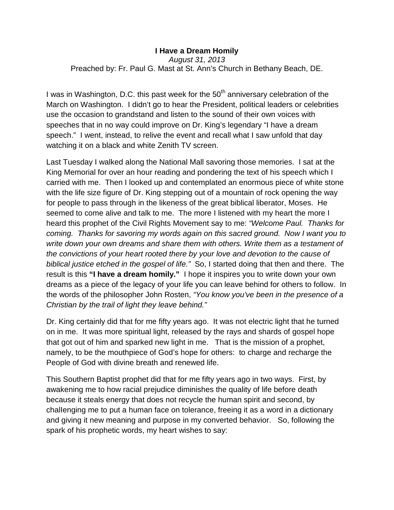## **I Have a Dream Homily** *August 31, 2013* Preached by: Fr. Paul G. Mast at St. Ann's Church in Bethany Beach, DE.

I was in Washington, D.C. this past week for the  $50<sup>th</sup>$  anniversary celebration of the March on Washington. I didn't go to hear the President, political leaders or celebrities use the occasion to grandstand and listen to the sound of their own voices with speeches that in no way could improve on Dr. King's legendary "I have a dream speech." I went, instead, to relive the event and recall what I saw unfold that day watching it on a black and white Zenith TV screen.

Last Tuesday I walked along the National Mall savoring those memories. I sat at the King Memorial for over an hour reading and pondering the text of his speech which I carried with me. Then I looked up and contemplated an enormous piece of white stone with the life size figure of Dr. King stepping out of a mountain of rock opening the way for people to pass through in the likeness of the great biblical liberator, Moses. He seemed to come alive and talk to me. The more I listened with my heart the more I heard this prophet of the Civil Rights Movement say to me: *"Welcome Paul. Thanks for coming. Thanks for savoring my words again on this sacred ground. Now I want you to write down your own dreams and share them with others. Write them as a testament of the convictions of your heart rooted there by your love and devotion to the cause of biblical justice etched in the gospel of life."* So, I started doing that then and there. The result is this **"I have a dream homily."** I hope it inspires you to write down your own dreams as a piece of the legacy of your life you can leave behind for others to follow. In the words of the philosopher John Rosten, *"You know you've been in the presence of a Christian by the trail of light they leave behind."*

Dr. King certainly did that for me fifty years ago. It was not electric light that he turned on in me. It was more spiritual light, released by the rays and shards of gospel hope that got out of him and sparked new light in me. That is the mission of a prophet, namely, to be the mouthpiece of God's hope for others: to charge and recharge the People of God with divine breath and renewed life.

This Southern Baptist prophet did that for me fifty years ago in two ways. First, by awakening me to how racial prejudice diminishes the quality of life before death because it steals energy that does not recycle the human spirit and second, by chalIenging me to put a human face on tolerance, freeing it as a word in a dictionary and giving it new meaning and purpose in my converted behavior. So, following the spark of his prophetic words, my heart wishes to say: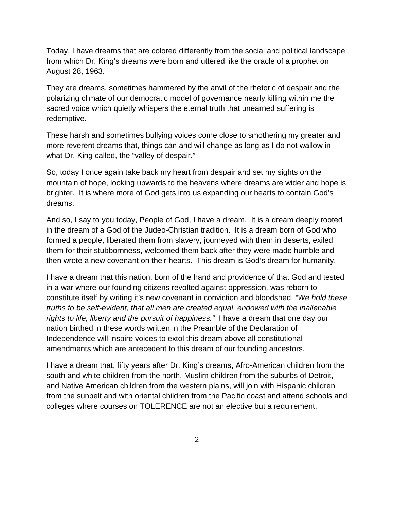Today, I have dreams that are colored differently from the social and political landscape from which Dr. King's dreams were born and uttered like the oracle of a prophet on August 28, 1963.

They are dreams, sometimes hammered by the anvil of the rhetoric of despair and the polarizing climate of our democratic model of governance nearly killing within me the sacred voice which quietly whispers the eternal truth that unearned suffering is redemptive.

These harsh and sometimes bullying voices come close to smothering my greater and more reverent dreams that, things can and will change as long as I do not wallow in what Dr. King called, the "valley of despair."

So, today I once again take back my heart from despair and set my sights on the mountain of hope, looking upwards to the heavens where dreams are wider and hope is brighter. It is where more of God gets into us expanding our hearts to contain God's dreams.

And so, I say to you today, People of God, I have a dream. It is a dream deeply rooted in the dream of a God of the Judeo-Christian tradition. It is a dream born of God who formed a people, liberated them from slavery, journeyed with them in deserts, exiled them for their stubbornness, welcomed them back after they were made humble and then wrote a new covenant on their hearts. This dream is God's dream for humanity.

I have a dream that this nation, born of the hand and providence of that God and tested in a war where our founding citizens revolted against oppression, was reborn to constitute itself by writing it's new covenant in conviction and bloodshed, *"We hold these truths to be self-evident, that all men are created equal, endowed with the inalienable rights to life, liberty and the pursuit of happiness."* I have a dream that one day our nation birthed in these words written in the Preamble of the Declaration of Independence will inspire voices to extol this dream above all constitutional amendments which are antecedent to this dream of our founding ancestors.

I have a dream that, fifty years after Dr. King's dreams, Afro-American children from the south and white children from the north, Muslim children from the suburbs of Detroit, and Native American children from the western plains, will join with Hispanic children from the sunbelt and with oriental children from the Pacific coast and attend schools and colleges where courses on TOLERENCE are not an elective but a requirement.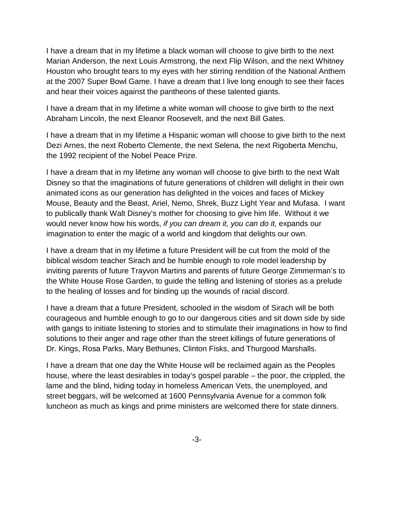I have a dream that in my lifetime a black woman will choose to give birth to the next Marian Anderson, the next Louis Armstrong, the next Flip Wilson, and the next Whitney Houston who brought tears to my eyes with her stirring rendition of the National Anthem at the 2007 Super Bowl Game. I have a dream that I live long enough to see their faces and hear their voices against the pantheons of these talented giants.

I have a dream that in my lifetime a white woman will choose to give birth to the next Abraham Lincoln, the next Eleanor Roosevelt, and the next Bill Gates.

I have a dream that in my lifetime a Hispanic woman will choose to give birth to the next Dezi Arnes, the next Roberto Clemente, the next Selena, the next Rigoberta Menchu, the 1992 recipient of the Nobel Peace Prize.

I have a dream that in my lifetime any woman will choose to give birth to the next Walt Disney so that the imaginations of future generations of children will delight in their own animated icons as our generation has delighted in the voices and faces of Mickey Mouse, Beauty and the Beast, Ariel, Nemo, Shrek, Buzz Light Year and Mufasa. I want to publically thank Walt Disney's mother for choosing to give him life. Without it we would never know how his words, *if you can dream it, you can do it,* expands our imagination to enter the magic of a world and kingdom that delights our own.

I have a dream that in my lifetime a future President will be cut from the mold of the biblical wisdom teacher Sirach and be humble enough to role model leadership by inviting parents of future Trayvon Martins and parents of future George Zimmerman's to the White House Rose Garden, to guide the telling and listening of stories as a prelude to the healing of losses and for binding up the wounds of racial discord.

I have a dream that a future President, schooled in the wisdom of Sirach will be both courageous and humble enough to go to our dangerous cities and sit down side by side with gangs to initiate listening to stories and to stimulate their imaginations in how to find solutions to their anger and rage other than the street killings of future generations of Dr. Kings, Rosa Parks, Mary Bethunes, Clinton Fisks, and Thurgood Marshalls.

I have a dream that one day the White House will be reclaimed again as the Peoples house, where the least desirables in today's gospel parable – the poor, the crippled, the lame and the blind, hiding today in homeless American Vets, the unemployed, and street beggars, will be welcomed at 1600 Pennsylvania Avenue for a common folk luncheon as much as kings and prime ministers are welcomed there for state dinners.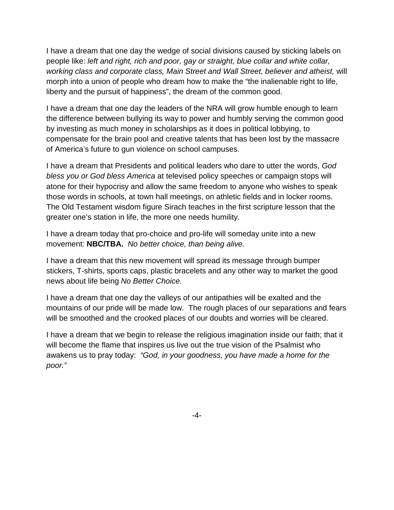I have a dream that one day the wedge of social divisions caused by sticking labels on people like: *left and right, rich and poor, gay or straight, blue collar and white collar, working class and corporate class, Main Street and Wall Street, believer and atheist,* will morph into a union of people who dream how to make the "the inalienable right to life, liberty and the pursuit of happiness", the dream of the common good.

I have a dream that one day the leaders of the NRA will grow humble enough to learn the difference between bullying its way to power and humbly serving the common good by investing as much money in scholarships as it does in political lobbying, to compensate for the brain pool and creative talents that has been lost by the massacre of America's future to gun violence on school campuses.

I have a dream that Presidents and political leaders who dare to utter the words, *God bless you or God bless America* at televised policy speeches or campaign stops will atone for their hypocrisy and allow the same freedom to anyone who wishes to speak those words in schools, at town hall meetings, on athletic fields and in locker rooms. The Old Testament wisdom figure Sirach teaches in the first scripture lesson that the greater one's station in life, the more one needs humility.

I have a dream today that pro-choice and pro-life will someday unite into a new movement: **NBC/TBA.** *No better choice, than being alive.* 

I have a dream that this new movement will spread its message through bumper stickers, T-shirts, sports caps, plastic bracelets and any other way to market the good news about life being *No Better Choice.*

I have a dream that one day the valleys of our antipathies will be exalted and the mountains of our pride will be made low. The rough places of our separations and fears will be smoothed and the crooked places of our doubts and worries will be cleared.

I have a dream that we begin to release the religious imagination inside our faith; that it will become the flame that inspires us live out the true vision of the Psalmist who awakens us to pray today: *"God, in your goodness, you have made a home for the poor."*